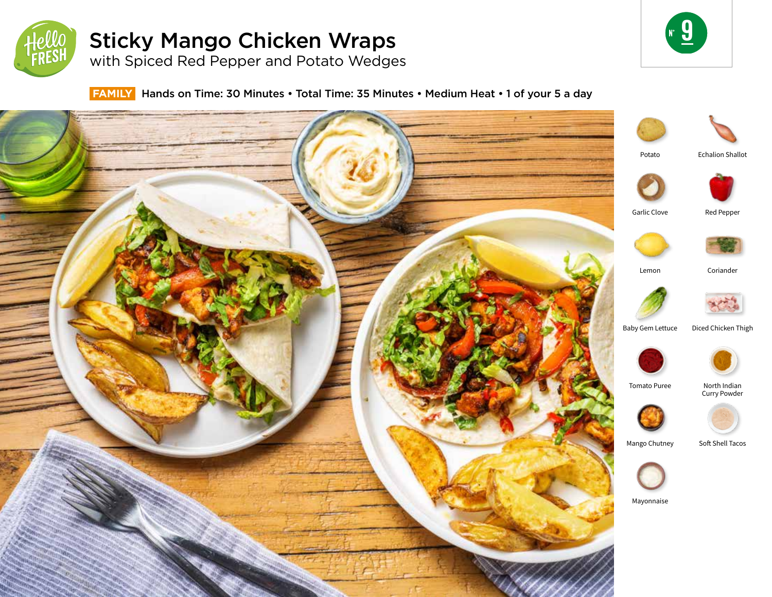

# Sticky Mango Chicken Wraps

with Spiced Red Pepper and Potato Wedges



## **FAMILY** Hands on Time: 30 Minutes • Total Time: 35 Minutes • Medium Heat • 1 of your 5 a day